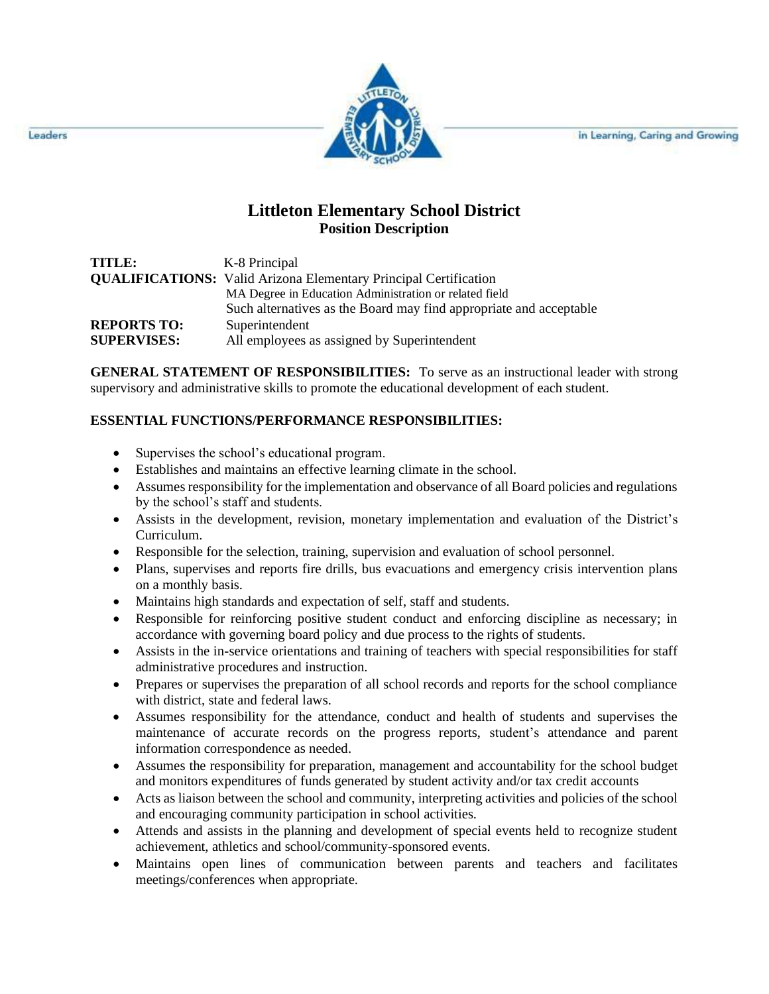in Learning, Caring and Growing



## **Littleton Elementary School District Position Description**

| TITLE:             | K-8 Principal                                                           |
|--------------------|-------------------------------------------------------------------------|
|                    | <b>QUALIFICATIONS:</b> Valid Arizona Elementary Principal Certification |
|                    | MA Degree in Education Administration or related field                  |
|                    | Such alternatives as the Board may find appropriate and acceptable      |
| <b>REPORTS TO:</b> | Superintendent                                                          |
| <b>SUPERVISES:</b> | All employees as assigned by Superintendent                             |

**GENERAL STATEMENT OF RESPONSIBILITIES:** To serve as an instructional leader with strong supervisory and administrative skills to promote the educational development of each student.

## **ESSENTIAL FUNCTIONS/PERFORMANCE RESPONSIBILITIES:**

- Supervises the school's educational program.
- Establishes and maintains an effective learning climate in the school.
- Assumes responsibility for the implementation and observance of all Board policies and regulations by the school's staff and students.
- Assists in the development, revision, monetary implementation and evaluation of the District's Curriculum.
- Responsible for the selection, training, supervision and evaluation of school personnel.
- Plans, supervises and reports fire drills, bus evacuations and emergency crisis intervention plans on a monthly basis.
- Maintains high standards and expectation of self, staff and students.
- Responsible for reinforcing positive student conduct and enforcing discipline as necessary; in accordance with governing board policy and due process to the rights of students.
- Assists in the in-service orientations and training of teachers with special responsibilities for staff administrative procedures and instruction.
- Prepares or supervises the preparation of all school records and reports for the school compliance with district, state and federal laws.
- Assumes responsibility for the attendance, conduct and health of students and supervises the maintenance of accurate records on the progress reports, student's attendance and parent information correspondence as needed.
- Assumes the responsibility for preparation, management and accountability for the school budget and monitors expenditures of funds generated by student activity and/or tax credit accounts
- Acts as liaison between the school and community, interpreting activities and policies of the school and encouraging community participation in school activities.
- Attends and assists in the planning and development of special events held to recognize student achievement, athletics and school/community-sponsored events.
- Maintains open lines of communication between parents and teachers and facilitates meetings/conferences when appropriate.

Leaders